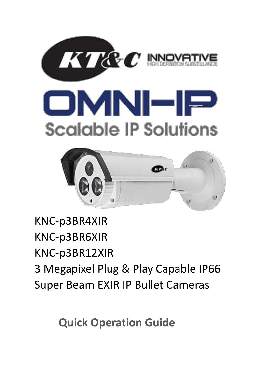





# KNC-p3BR4XIR KNC-p3BR6XIR KNC-p3BR12XIR 3 Megapixel Plug & Play Capable IP66 Super Beam EXIR IP Bullet Cameras

**Quick Operation Guide**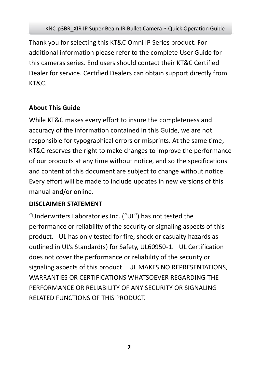Thank you for selecting this KT&C Omni IP Series product. For additional information please refer to the complete User Guide for this cameras series. End users should contact their KT&C Certified Dealer for service. Certified Dealers can obtain support directly from KT&C.

### **About This Guide**

While KT&C makes every effort to insure the completeness and accuracy of the information contained in this Guide, we are not responsible for typographical errors or misprints. At the same time, KT&C reserves the right to make changes to improve the performance of our products at any time without notice, and so the specifications and content of this document are subject to change without notice. Every effort will be made to include updates in new versions of this manual and/or online.

#### **DISCLAIMER STATEMENT**

"Underwriters Laboratories Inc. ("UL") has not tested the performance or reliability of the security or signaling aspects of this product. UL has only tested for fire, shock or casualty hazards as outlined in UL's Standard(s) for Safety, UL60950-1. UL Certification does not cover the performance or reliability of the security or signaling aspects of this product. UL MAKES NO REPRESENTATIONS, WARRANTIES OR CERTIFICATIONS WHATSOEVER REGARDING THE PERFORMANCE OR RELIABILITY OF ANY SECURITY OR SIGNALING RELATED FUNCTIONS OF THIS PRODUCT.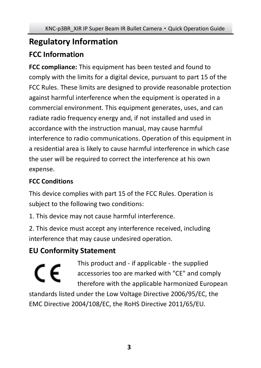## **Regulatory Information FCC Information**

**FCC compliance:** This equipment has been tested and found to comply with the limits for a digital device, pursuant to part 15 of the FCC Rules. These limits are designed to provide reasonable protection against harmful interference when the equipment is operated in a commercial environment. This equipment generates, uses, and can radiate radio frequency energy and, if not installed and used in accordance with the instruction manual, may cause harmful interference to radio communications. Operation of this equipment in a residential area is likely to cause harmful interference in which case the user will be required to correct the interference at his own expense.

### **FCC Conditions**

This device complies with part 15 of the FCC Rules. Operation is subject to the following two conditions:

1. This device may not cause harmful interference.

2. This device must accept any interference received, including interference that may cause undesired operation.

### **EU Conformity Statement**

This product and - if applicable - the supplied C E accessories too are marked with "CE" and comply therefore with the applicable harmonized European standards listed under the Low Voltage Directive 2006/95/EC, the EMC Directive 2004/108/EC, the RoHS Directive 2011/65/EU.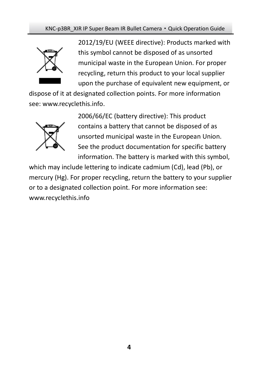

2012/19/EU (WEEE directive): Products marked with this symbol cannot be disposed of as unsorted municipal waste in the European Union. For proper recycling, return this product to your local supplier upon the purchase of equivalent new equipment, or

dispose of it at designated collection points. For more information see[: www.recyclethis.info.](http://www.recyclethis.info/)



2006/66/EC (battery directive): This product contains a battery that cannot be disposed of as unsorted municipal waste in the European Union. See the product documentation for specific battery information. The battery is marked with this symbol,

which may include lettering to indicate cadmium (Cd), lead (Pb), or mercury (Hg). For proper recycling, return the battery to your supplier or to a designated collection point. For more information see: www.recyclethis.info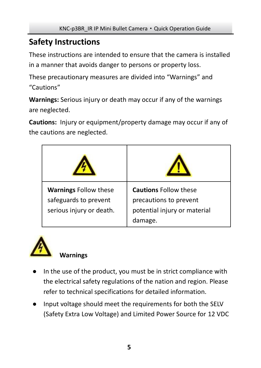### **Safety Instructions**

These instructions are intended to ensure that the camera is installed in a manner that avoids danger to persons or property loss.

These precautionary measures are divided into "Warnings" and "Cautions"

**Warnings:** Serious injury or death may occur if any of the warnings are neglected.

**Cautions:** Injury or equipment/property damage may occur if any of the cautions are neglected.

| <b>Warnings Follow these</b><br>safeguards to prevent<br>serious injury or death. | <b>Cautions Follow these</b><br>precautions to prevent<br>potential injury or material<br>damage. |
|-----------------------------------------------------------------------------------|---------------------------------------------------------------------------------------------------|



### **Warnings**

- In the use of the product, you must be in strict compliance with the electrical safety regulations of the nation and region. Please refer to technical specifications for detailed information.
- Input voltage should meet the requirements for both the SELV (Safety Extra Low Voltage) and Limited Power Source for 12 VDC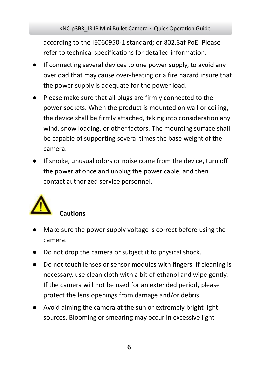#### KNC-p3BR\_IR IP Mini Bullet Camera · Quick Operation Guide

according to the IEC60950-1 standard; or 802.3af PoE. Please refer to technical specifications for detailed information.

- If connecting several devices to one power supply, to avoid any overload that may cause over-heating or a fire hazard insure that the power supply is adequate for the power load.
- Please make sure that all plugs are firmly connected to the power sockets. When the product is mounted on wall or ceiling, the device shall be firmly attached, taking into consideration any wind, snow loading, or other factors. The mounting surface shall be capable of supporting several times the base weight of the camera.
- If smoke, unusual odors or noise come from the device, turn off the power at once and unplug the power cable, and then contact authorized service personnel.



- Make sure the power supply voltage is correct before using the camera.
- Do not drop the camera or subject it to physical shock.
- Do not touch lenses or sensor modules with fingers. If cleaning is necessary, use clean cloth with a bit of ethanol and wipe gently. If the camera will not be used for an extended period, please protect the lens openings from damage and/or debris.
- Avoid aiming the camera at the sun or extremely bright light sources. Blooming or smearing may occur in excessive light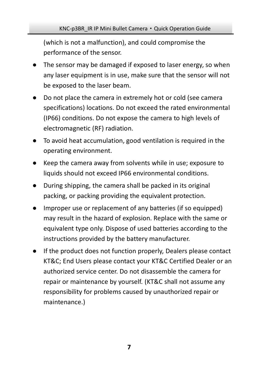#### KNC-p3BR\_IR IP Mini Bullet Camera · Quick Operation Guide

(which is not a malfunction), and could compromise the performance of the sensor.

- The sensor may be damaged if exposed to laser energy, so when any laser equipment is in use, make sure that the sensor will not be exposed to the laser beam.
- Do not place the camera in extremely hot or cold (see camera specifications) locations. Do not exceed the rated environmental (IP66) conditions. Do not expose the camera to high levels of electromagnetic (RF) radiation.
- To avoid heat accumulation, good ventilation is required in the operating environment.
- Keep the camera away from solvents while in use; exposure to liquids should not exceed IP66 environmental conditions.
- During shipping, the camera shall be packed in its original packing, or packing providing the equivalent protection.
- Improper use or replacement of any batteries (if so equipped) may result in the hazard of explosion. Replace with the same or equivalent type only. Dispose of used batteries according to the instructions provided by the battery manufacturer.
- If the product does not function properly, Dealers please contact KT&C; End Users please contact your KT&C Certified Dealer or an authorized service center. Do not disassemble the camera for repair or maintenance by yourself. (KT&C shall not assume any responsibility for problems caused by unauthorized repair or maintenance.)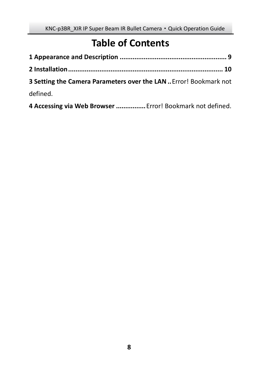## **Table of Contents**

| 3 Setting the Camera Parameters over the LAN  Error! Bookmark not |  |
|-------------------------------------------------------------------|--|
| defined.                                                          |  |
|                                                                   |  |

**Accessing via Web Browser ................**Error! Bookmark not defined.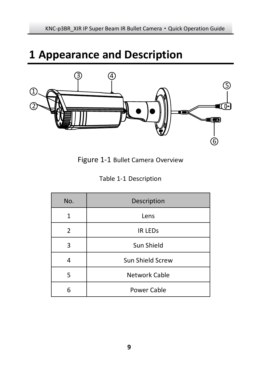# <span id="page-8-0"></span>**Appearance and Description**



Figure 1-1 Bullet Camera Overview

|  |  | Table 1-1 Description |
|--|--|-----------------------|
|--|--|-----------------------|

| No. | Description      |
|-----|------------------|
| 1   | Lens             |
| 2   | <b>IR LEDS</b>   |
| 3   | Sun Shield       |
|     | Sun Shield Screw |
| 5   | Network Cable    |
| 6   | Power Cable      |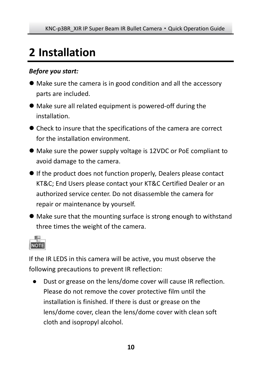# <span id="page-9-0"></span>**2 Installation**

#### *Before you start:*

- Make sure the camera is in good condition and all the accessory parts are included.
- Make sure all related equipment is powered-off during the installation.
- Check to insure that the specifications of the camera are correct for the installation environment.
- Make sure the power supply voltage is 12VDC or PoE compliant to avoid damage to the camera.
- If the product does not function properly, Dealers please contact KT&C; End Users please contact your KT&C Certified Dealer or an authorized service center. Do not disassemble the camera for repair or maintenance by yourself.
- Make sure that the mounting surface is strong enough to withstand three times the weight of the camera.



If the IR LEDS in this camera will be active, you must observe the following precautions to prevent IR reflection:

● Dust or grease on the lens/dome cover will cause IR reflection. Please do not remove the cover protective film until the installation is finished. If there is dust or grease on the lens/dome cover, clean the lens/dome cover with clean soft cloth and isopropyl alcohol.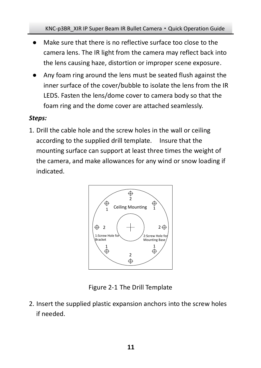- Make sure that there is no reflective surface too close to the camera lens. The IR light from the camera may reflect back into the lens causing haze, distortion or improper scene exposure.
- Any foam ring around the lens must be seated flush against the inner surface of the cover/bubble to isolate the lens from the IR LEDS. Fasten the lens/dome cover to camera body so that the foam ring and the dome cover are attached seamlessly.

#### *Steps:*

1. Drill the cable hole and the screw holes in the wall or ceiling according to the supplied drill template. Insure that the mounting surface can support at least three times the weight of the camera, and make allowances for any wind or snow loading if indicated.



Figure 2-1 The Drill Template

2. Insert the supplied plastic expansion anchors into the screw holes if needed.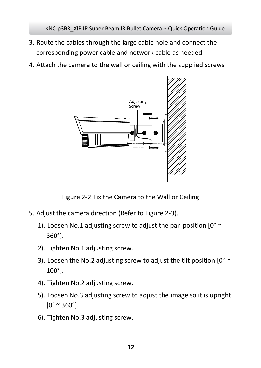- 3. Route the cables through the large cable hole and connect the corresponding power cable and network cable as needed
- 4. Attach the camera to the wall or ceiling with the supplied screws



Figure 2-2 Fix the Camera to the Wall or Ceiling

- 5. Adjust the camera direction (Refer to Figure 2-3).
	- 1). Loosen No.1 adjusting screw to adjust the pan position  $[0^{\circ}$  ~ 360°].
	- 2). Tighten No.1 adjusting screw.
	- 3). Loosen the No.2 adjusting screw to adjust the tilt position [0° ~ 100°].
	- 4). Tighten No.2 adjusting screw.
	- 5). Loosen No.3 adjusting screw to adjust the image so it is upright  $[0^{\circ}$  ~ 360°].
	- 6). Tighten No.3 adjusting screw.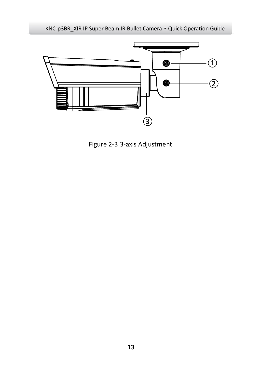KNC-p3BR\_XIR IP Super Beam IR Bullet Camera · Quick Operation Guide



Figure 2-3 3-axis Adjustment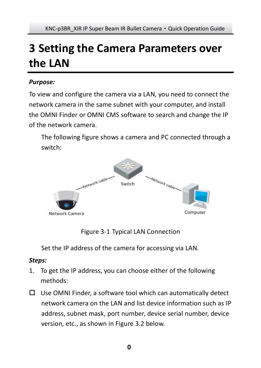# **3 Setting the Camera Parameters over the LAN**

#### *Purpose:*

To view and configure the camera via a LAN, you need to connect the network camera in the same subnet with your computer, and install the OMNI Finder or OMNI CMS software to search and change the IP of the network camera.

The following figure shows a camera and PC connected through a switch:



Figure 3-1 Typical LAN Connection

Set the IP address of the camera for accessing via LAN.

#### *Steps:*

- 1. To get the IP address, you can choose either of the following methods:
- $\Box$  Use OMNI Finder, a software tool which can automatically detect network camera on the LAN and list device information such as IP address, subnet mask, port number, device serial number, device version, etc., as shown in Figure 3.2 below.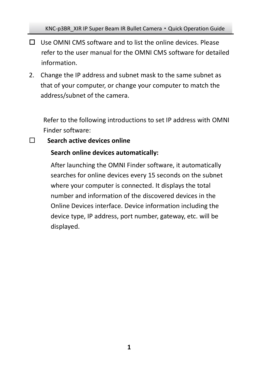- $\Box$  Use OMNI CMS software and to list the online devices. Please refer to the user manual for the OMNI CMS software for detailed information.
- 2. Change the IP address and subnet mask to the same subnet as that of your computer, or change your computer to match the address/subnet of the camera.

Refer to the following introductions to set IP address with OMNI Finder software:

#### **Search active devices online**

#### **Search online devices automatically:**

After launching the OMNI Finder software, it automatically searches for online devices every 15 seconds on the subnet where your computer is connected. It displays the total number and information of the discovered devices in the Online Devices interface. Device information including the device type, IP address, port number, gateway, etc. will be displayed.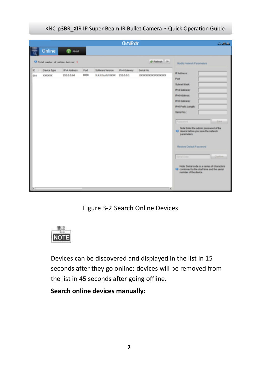|          |                                            |                                   |              |                                              | <b>O/NFrdF</b> |                                | تفائلات                                                                                                                                                                                                                                                                                                                                                                                                                                          |
|----------|--------------------------------------------|-----------------------------------|--------------|----------------------------------------------|----------------|--------------------------------|--------------------------------------------------------------------------------------------------------------------------------------------------------------------------------------------------------------------------------------------------------------------------------------------------------------------------------------------------------------------------------------------------------------------------------------------------|
|          | Online                                     | 0.444                             |              |                                              |                |                                |                                                                                                                                                                                                                                                                                                                                                                                                                                                  |
|          |                                            | O fetal suder of mline devices: 3 |              |                                              |                | @ Refesh 22                    | Modifi Network Parameters                                                                                                                                                                                                                                                                                                                                                                                                                        |
| ø<br>don | <b>Cevice Tipe</b><br><b><i>REEKER</i></b> | <b>IPv4Address</b><br>152.0.0.64  | Pot<br>\$000 | Software Version<br>XXX build KKKK 192.0.0.1 | Pv4 Galeway    | Serial No.<br>**************** | IP Address:<br>Port<br>Subnet Mask<br><b>IPv4 Galeway</b><br><b>IPV6Addwss</b><br><b>IPv6 Galeway</b><br><b>IPV6 Prefix Langift</b><br>Serial No.<br><b>Date</b><br>Pannword<br>Note Enter the admin password of the<br>O delce before you save the network<br>parameters.<br>Restore Detaut Password<br><b>Senat code</b><br>Note: Serial code is a series of characters<br>O combined by the startisme and the serial<br>number of the device. |
|          |                                            |                                   |              |                                              |                | Tal                            |                                                                                                                                                                                                                                                                                                                                                                                                                                                  |

Figure 3-2 Search Online Devices



Devices can be discovered and displayed in the list in 15 seconds after they go online; devices will be removed from the list in 45 seconds after going offline.

**Search online devices manually:**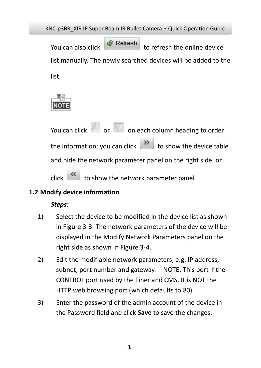You can also click to refresh the online device list manually. The newly searched devices will be added to the list.



You can click  $\Box$  or  $\nabla$  on each column heading to order the information; you can click  $\begin{array}{|l|} \hline \mathbf{b} & \mathbf{b} \end{array}$  to show the device table and hide the network parameter panel on the right side, or  $\overline{\text{click}}$  to show the network parameter panel.

#### **1.2 Modify device information**

#### *Steps:*

- 1) Select the device to be modified in the device list as shown i[n Figure 3-3.](#page-17-0) The network parameters of the device will be displayed in the Modify Network Parameters panel on the right side as shown i[n Figure 3-4.](#page-17-1)
- 2) Edit the modifiable network parameters, e.g. IP address, subnet, port number and gateway. NOTE: This port if the CONTROL port used by the Finer and CMS. It is NOT the HTTP web browsing port (which defaults to 80).
- 3) Enter the password of the admin account of the device in the Password field and click **Save** to save the changes.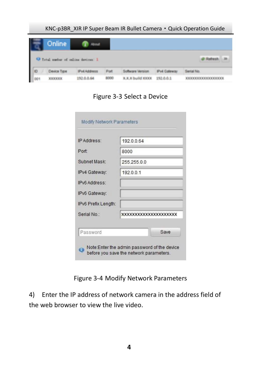<span id="page-17-0"></span>

| Online |                                            |      |                    |                   |
|--------|--------------------------------------------|------|--------------------|-------------------|
|        |                                            |      |                    |                   |
|        | <b>O</b> Tetal surfer of saline devices: I |      |                    |                   |
|        |                                            |      |                    |                   |
|        |                                            | Port | <b>Put Galeway</b> | <b>Gertal May</b> |

Figure 3-3 Select a Device

| Port                | 8000                  |
|---------------------|-----------------------|
|                     |                       |
| Subnet Mask:        | 255 255 0 0           |
| IPv4 Gateway:       | 192.0.0.1             |
| IPv6 Address:       |                       |
| IPv6 Gateway:       |                       |
| IPv6 Prefix Length: |                       |
| Serial No:          | XXXXXXXXXXXXXXXXXXXXX |

Figure 3-4 Modify Network Parameters

<span id="page-17-1"></span>4) Enter the IP address of network camera in the address field of the web browser to view the live video.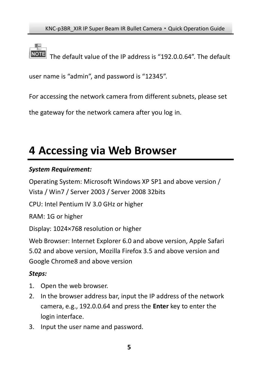The default value of the IP address is "192.0.0.64". The default

user name is "admin", and password is "12345".

For accessing the network camera from different subnets, please set

the gateway for the network camera after you log in.

## **4 Accessing via Web Browser**

#### *System Requirement:*

Operating System: Microsoft Windows XP SP1 and above version / Vista / Win7 / Server 2003 / Server 2008 32bits

CPU: Intel Pentium IV 3.0 GHz or higher

RAM: 1G or higher

Display: 1024×768 resolution or higher

Web Browser: Internet Explorer 6.0 and above version. Apple Safari 5.02 and above version, Mozilla Firefox 3.5 and above version and Google Chrome8 and above version

#### *Steps:*

- 1. Open the web browser.
- 2. In the browser address bar, input the IP address of the network camera, e.g., 192.0.0.64 and press the **Enter** key to enter the login interface.
- 3. Input the user name and password.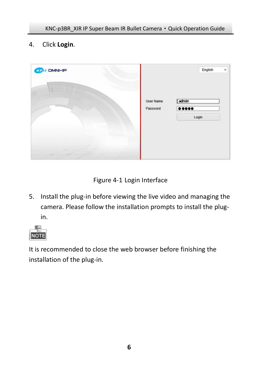4. Click **Login**.



Figure 4-1 Login Interface

5. Install the plug-in before viewing the live video and managing the camera. Please follow the installation prompts to install the plugin.



It is recommended to close the web browser before finishing the installation of the plug-in.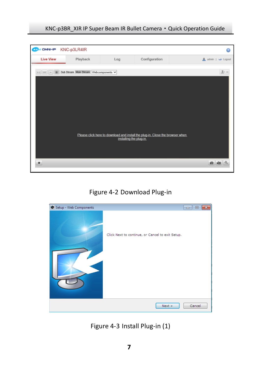

Figure 4-2 Download Plug-in



Figure 4-3 Install Plug-in (1)